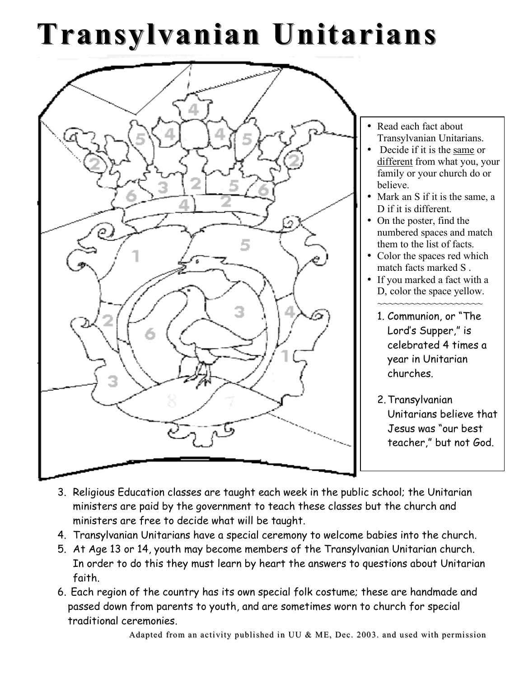## **Transylvanian Unitarians**



- Read each fact about Transylvanian Unitarians.
- Decide if it is the same or different from what you, your family or your church do or believe.
- Mark an S if it is the same, a D if it is different.
- On the poster, find the numbered spaces and match them to the list of facts.
- Color the spaces red which match facts marked S .
- If you marked a fact with a D, color the space yellow. ~~~~~~~~~~~~~~~~~
	- 1. Communion, or "The Lord's Supper," is celebrated 4 times a year in Unitarian churches.
	- 2.Transylvanian Unitarians believe that Jesus was "our best teacher," but not God.
- 3. Religious Education classes are taught each week in the public school; the Unitarian ministers are paid by the government to teach these classes but the church and ministers are free to decide what will be taught.
- 4. Transylvanian Unitarians have a special ceremony to welcome babies into the church.
- 5. At Age 13 or 14, youth may become members of the Transylvanian Unitarian church. In order to do this they must learn by heart the answers to questions about Unitarian faith.
- 6. Each region of the country has its own special folk costume; these are handmade and passed down from parents to youth, and are sometimes worn to church for special traditional ceremonies.

Adapted from an activity published in UU  $\&$  ME, Dec. 2003. and used with permission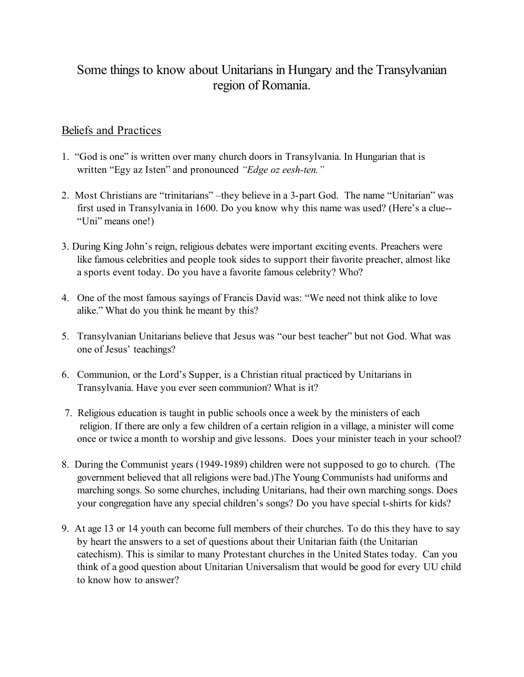## Some things to know about Unitarians in Hungary and the Transylvanian region of Romania.

## Beliefs and Practices

- 1. "God is one" is written over many church doors in Transylvania. In Hungarian that is written "Egy az Isten" and pronounced *"Edge oz eesh-ten."*
- 2. Most Christians are "trinitarians" –they believe in a 3-part God. The name "Unitarian" was first used in Transylvania in 1600. Do you know why this name was used? (Here's a clue-- "Uni" means one!)
- 3. During King John's reign, religious debates were important exciting events. Preachers were like famous celebrities and people took sides to support their favorite preacher, almost like a sports event today. Do you have a favorite famous celebrity? Who?
- 4. One of the most famous sayings of Francis David was: "We need not think alike to love alike." What do you think he meant by this?
- 5. Transylvanian Unitarians believe that Jesus was "our best teacher" but not God. What was one of Jesus' teachings?
- 6. Communion, or the Lord's Supper, is a Christian ritual practiced by Unitarians in Transylvania. Have you ever seen communion? What is it?
- 7. Religious education is taught in public schools once a week by the ministers of each religion. If there are only a few children of a certain religion in a village, a minister will come once or twice a month to worship and give lessons. Does your minister teach in your school?
- 8. During the Communist years (1949-1989) children were not supposed to go to church. (The government believed that all religions were bad.)The Young Communists had uniforms and marching songs. So some churches, including Unitarians, had their own marching songs. Does your congregation have any special children's songs? Do you have special t-shirts for kids?
- 9. At age 13 or 14 youth can become full members of their churches. To do this they have to say by heart the answers to a set of questions about their Unitarian faith (the Unitarian catechism). This is similar to many Protestant churches in the United States today. Can you think of a good question about Unitarian Universalism that would be good for every UU child to know how to answer?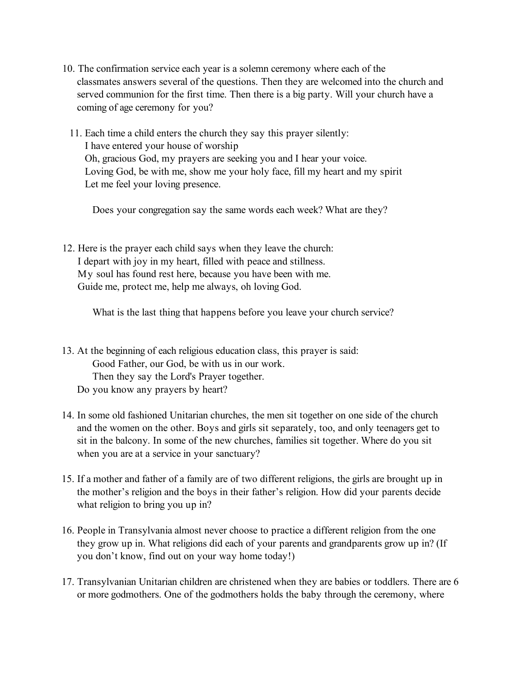- 10. The confirmation service each year is a solemn ceremony where each of the classmates answers several of the questions. Then they are welcomed into the church and served communion for the first time. Then there is a big party. Will your church have a coming of age ceremony for you?
	- 11. Each time a child enters the church they say this prayer silently: I have entered your house of worship Oh, gracious God, my prayers are seeking you and I hear your voice. Loving God, be with me, show me your holy face, fill my heart and my spirit Let me feel your loving presence.

Does your congregation say the same words each week? What are they?

12. Here is the prayer each child says when they leave the church: I depart with joy in my heart, filled with peace and stillness. My soul has found rest here, because you have been with me. Guide me, protect me, help me always, oh loving God.

What is the last thing that happens before you leave your church service?

- 13. At the beginning of each religious education class, this prayer is said: Good Father, our God, be with us in our work. Then they say the Lord's Prayer together. Do you know any prayers by heart?
- 14. In some old fashioned Unitarian churches, the men sit together on one side of the church and the women on the other. Boys and girls sit separately, too, and only teenagers get to sit in the balcony. In some of the new churches, families sit together. Where do you sit when you are at a service in your sanctuary?
- 15. If a mother and father of a family are of two different religions, the girls are brought up in the mother's religion and the boys in their father's religion. How did your parents decide what religion to bring you up in?
- 16. People in Transylvania almost never choose to practice a different religion from the one they grow up in. What religions did each of your parents and grandparents grow up in? (If you don't know, find out on your way home today!)
- 17. Transylvanian Unitarian children are christened when they are babies or toddlers. There are 6 or more godmothers. One of the godmothers holds the baby through the ceremony, where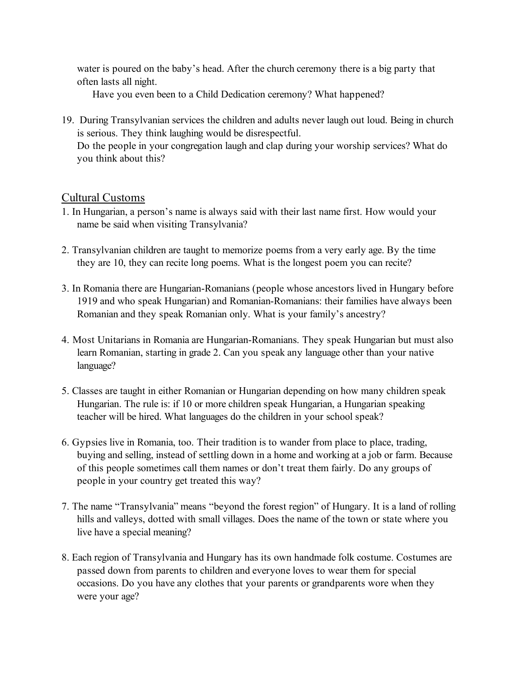water is poured on the baby's head. After the church ceremony there is a big party that often lasts all night.

Have you even been to a Child Dedication ceremony? What happened?

19. During Transylvanian services the children and adults never laugh out loud. Being in church is serious. They think laughing would be disrespectful. Do the people in your congregation laugh and clap during your worship services? What do you think about this?

## Cultural Customs

- 1. In Hungarian, a person's name is always said with their last name first. How would your name be said when visiting Transylvania?
- 2. Transylvanian children are taught to memorize poems from a very early age. By the time they are 10, they can recite long poems. What is the longest poem you can recite?
- 3. In Romania there are Hungarian-Romanians (people whose ancestors lived in Hungary before 1919 and who speak Hungarian) and Romanian-Romanians: their families have always been Romanian and they speak Romanian only. What is your family's ancestry?
- 4. Most Unitarians in Romania are Hungarian-Romanians. They speak Hungarian but must also learn Romanian, starting in grade 2. Can you speak any language other than your native language?
- 5. Classes are taught in either Romanian or Hungarian depending on how many children speak Hungarian. The rule is: if 10 or more children speak Hungarian, a Hungarian speaking teacher will be hired. What languages do the children in your school speak?
- 6. Gypsies live in Romania, too. Their tradition is to wander from place to place, trading, buying and selling, instead of settling down in a home and working at a job or farm. Because of this people sometimes call them names or don't treat them fairly. Do any groups of people in your country get treated this way?
- 7. The name "Transylvania" means "beyond the forest region" of Hungary. It is a land of rolling hills and valleys, dotted with small villages. Does the name of the town or state where you live have a special meaning?
- 8. Each region of Transylvania and Hungary has its own handmade folk costume. Costumes are passed down from parents to children and everyone loves to wear them for special occasions. Do you have any clothes that your parents or grandparents wore when they were your age?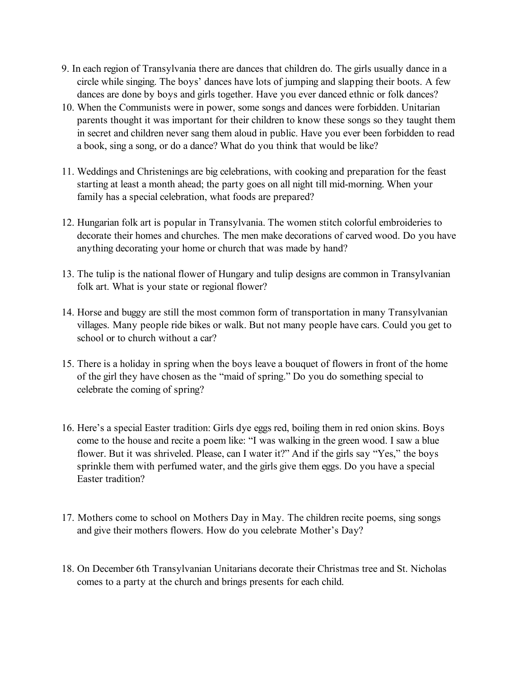- 9. In each region of Transylvania there are dances that children do. The girls usually dance in a circle while singing. The boys' dances have lots of jumping and slapping their boots. A few dances are done by boys and girls together. Have you ever danced ethnic or folk dances?
- 10. When the Communists were in power, some songs and dances were forbidden. Unitarian parents thought it was important for their children to know these songs so they taught them in secret and children never sang them aloud in public. Have you ever been forbidden to read a book, sing a song, or do a dance? What do you think that would be like?
- 11. Weddings and Christenings are big celebrations, with cooking and preparation for the feast starting at least a month ahead; the party goes on all night till mid-morning. When your family has a special celebration, what foods are prepared?
- 12. Hungarian folk art is popular in Transylvania. The women stitch colorful embroideries to decorate their homes and churches. The men make decorations of carved wood. Do you have anything decorating your home or church that was made by hand?
- 13. The tulip is the national flower of Hungary and tulip designs are common in Transylvanian folk art. What is your state or regional flower?
- 14. Horse and buggy are still the most common form of transportation in many Transylvanian villages. Many people ride bikes or walk. But not many people have cars. Could you get to school or to church without a car?
- 15. There is a holiday in spring when the boys leave a bouquet of flowers in front of the home of the girl they have chosen as the "maid of spring." Do you do something special to celebrate the coming of spring?
- 16. Here's a special Easter tradition: Girls dye eggs red, boiling them in red onion skins. Boys come to the house and recite a poem like: "I was walking in the green wood. I saw a blue flower. But it was shriveled. Please, can I water it?" And if the girls say "Yes," the boys sprinkle them with perfumed water, and the girls give them eggs. Do you have a special Easter tradition?
- 17. Mothers come to school on Mothers Day in May. The children recite poems, sing songs and give their mothers flowers. How do you celebrate Mother's Day?
- 18. On December 6th Transylvanian Unitarians decorate their Christmas tree and St. Nicholas comes to a party at the church and brings presents for each child.